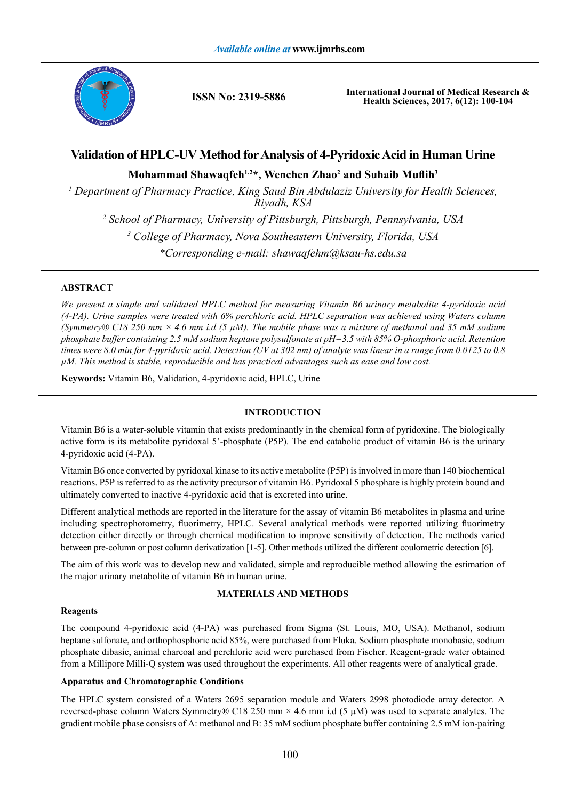

**ISSN No: 2319-5886**

**International Journal of Medical Research & Health Sciences, 2017, 6(12): 100-104**

# **Validation of HPLC-UV Method for Analysis of 4-Pyridoxic Acid in Human Urine**

**Mohammad Shawaqfeh1,2\*, Wenchen Zhao2 and Suhaib Muflih<sup>3</sup>**

<sup>1</sup> Department of Pharmacy Practice, King Saud Bin Abdulaziz University for Health Sciences, *Riyadh, KSA*

*2 School of Pharmacy, University of Pittsburgh, Pittsburgh, Pennsylvania, USA 3 College of Pharmacy, Nova Southeastern University, Florida, USA \*Corresponding e-mail: shawaqfehm@ksau-hs.edu.sa*

## **ABSTRACT**

*We present a simple and validated HPLC method for measuring Vitamin B6 urinary metabolite 4-pyridoxic acid (4-PA). Urine samples were treated with 6% perchloric acid. HPLC separation was achieved using Waters column (Symmetry® C18 250 mm × 4.6 mm i.d (5 µM). The mobile phase was a mixture of methanol and 35 mM sodium phosphate buffer containing 2.5 mM sodium heptane polysulfonate at pH=3.5 with 85% O-phosphoric acid. Retention times were 8.0 min for 4-pyridoxic acid. Detection (UV at 302 nm) of analyte was linear in a range from 0.0125 to 0.8 µM. This method is stable, reproducible and has practical advantages such as ease and low cost.*

**Keywords:** Vitamin B6, Validation, 4-pyridoxic acid, HPLC, Urine

## **INTRODUCTION**

Vitamin B6 is a water-soluble vitamin that exists predominantly in the chemical form of pyridoxine. The biologically active form is its metabolite pyridoxal 5'-phosphate (P5P). The end catabolic product of vitamin B6 is the urinary 4-pyridoxic acid (4-PA).

Vitamin B6 once converted by pyridoxal kinase to its active metabolite (P5P) is involved in more than 140 biochemical reactions. P5P is referred to as the activity precursor of vitamin B6. Pyridoxal 5 phosphate is highly protein bound and ultimately converted to inactive 4-pyridoxic acid that is excreted into urine.

Different analytical methods are reported in the literature for the assay of vitamin B6 metabolites in plasma and urine including spectrophotometry, fluorimetry, HPLC. Several analytical methods were reported utilizing fluorimetry detection either directly or through chemical modification to improve sensitivity of detection. The methods varied between pre-column or post column derivatization [1-5]. Other methods utilized the different coulometric detection [6].

The aim of this work was to develop new and validated, simple and reproducible method allowing the estimation of the major urinary metabolite of vitamin B6 in human urine.

## **MATERIALS AND METHODS**

## **Reagents**

The compound 4-pyridoxic acid (4-PA) was purchased from Sigma (St. Louis, MO, USA). Methanol, sodium heptane sulfonate, and orthophosphoric acid 85%, were purchased from Fluka. Sodium phosphate monobasic, sodium phosphate dibasic, animal charcoal and perchloric acid were purchased from Fischer. Reagent-grade water obtained from a Millipore Milli-Q system was used throughout the experiments. All other reagents were of analytical grade.

## **Apparatus and Chromatographic Conditions**

The HPLC system consisted of a Waters 2695 separation module and Waters 2998 photodiode array detector. A reversed-phase column Waters Symmetry® C18 250 mm  $\times$  4.6 mm i.d (5 µM) was used to separate analytes. The gradient mobile phase consists of A: methanol and B: 35 mM sodium phosphate buffer containing 2.5 mM ion-pairing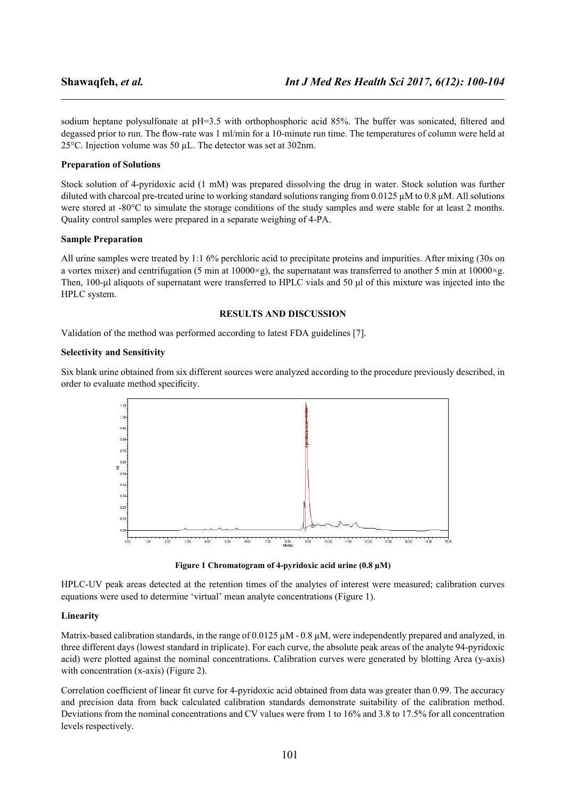sodium heptane polysulfonate at pH=3.5 with orthophosphoric acid 85%. The buffer was sonicated, filtered and degassed prior to run. The flow-rate was 1 ml/min for a 10-minute run time. The temperatures of column were held at 25°C. Injection volume was 50 µL. The detector was set at 302nm.

## **Preparation of Solutions**

Stock solution of 4-pyridoxic acid (1 mM) was prepared dissolving the drug in water. Stock solution was further diluted with charcoal pre-treated urine to working standard solutions ranging from 0.0125  $\mu$ M to 0.8  $\mu$ M. All solutions were stored at -80°C to simulate the storage conditions of the study samples and were stable for at least 2 months. Quality control samples were prepared in a separate weighing of 4-PA.

#### **Sample Preparation**

All urine samples were treated by 1:1 6% perchloric acid to precipitate proteins and impurities. After mixing (30s on a vortex mixer) and centrifugation (5 min at  $10000\times g$ ), the supernatant was transferred to another 5 min at  $10000\times g$ . Then, 100-μl aliquots of supernatant were transferred to HPLC vials and 50 μl of this mixture was injected into the HPLC system.

#### **RESULTS AND DISCUSSION**

Validation of the method was performed according to latest FDA guidelines [7].

### **Selectivity and Sensitivity**

Six blank urine obtained from six different sources were analyzed according to the procedure previously described, in order to evaluate method specificity.



**Figure 1 Chromatogram of 4-pyridoxic acid urine (0.8 µM)**

HPLC-UV peak areas detected at the retention times of the analytes of interest were measured; calibration curves equations were used to determine 'virtual' mean analyte concentrations (Figure 1).

#### **Linearity**

Matrix-based calibration standards, in the range of  $0.0125 \mu M - 0.8 \mu M$ , were independently prepared and analyzed, in three different days (lowest standard in triplicate). For each curve, the absolute peak areas of the analyte 94-pyridoxic acid) were plotted against the nominal concentrations. Calibration curves were generated by blotting Area (y-axis) with concentration (x-axis) (Figure 2).

Correlation coefficient of linear fit curve for 4-pyridoxic acid obtained from data was greater than 0.99. The accuracy and precision data from back calculated calibration standards demonstrate suitability of the calibration method. Deviations from the nominal concentrations and CV values were from 1 to 16% and 3.8 to 17.5% for all concentration levels respectively.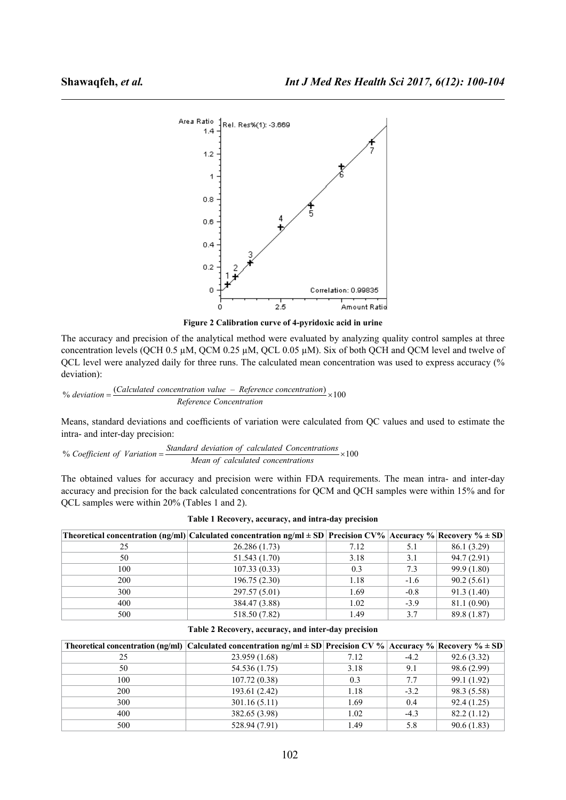

**Figure 2 Calibration curve of 4-pyridoxic acid in urine**

The accuracy and precision of the analytical method were evaluated by analyzing quality control samples at three concentration levels (QCH 0.5  $\mu$ M, QCM 0.25  $\mu$ M, QCL 0.05  $\mu$ M). Six of both QCH and QCM level and twelve of QCL level were analyzed daily for three runs. The calculated mean concentration was used to express accuracy (% deviation):

% deviation = 
$$
\frac{(Calculated\ concentration\ value - Reference\ concentration)}{Reference\ Concentration} \times 100
$$

Means, standard deviations and coefficients of variation were calculated from QC values and used to estimate the intra- and inter-day precision:

% Coefficient of Variation =  $\frac{\text{Standard deviation of calculated Concentrations}}{\text{Mean of calculated concentrations}} \times 100$ 

The obtained values for accuracy and precision were within FDA requirements. The mean intra- and inter-day accuracy and precision for the back calculated concentrations for QCM and QCH samples were within 15% and for QCL samples were within 20% (Tables 1 and 2).

|     | Theoretical concentration (ng/ml) Calculated concentration ng/ml $\pm$ SD Precision CV% Accuracy % Recovery % $\pm$ SD |      |        |             |
|-----|------------------------------------------------------------------------------------------------------------------------|------|--------|-------------|
| 25  | 26.286(1.73)                                                                                                           | 7.12 | 5.1    | 86.1 (3.29) |
| 50  | 51.543 (1.70)                                                                                                          | 3.18 | 3.1    | 94.7(2.91)  |
| 100 | 107.33(0.33)                                                                                                           | 0.3  | 7.3    | 99.9(1.80)  |
| 200 | 196.75(2.30)                                                                                                           | 1.18 | $-1.6$ | 90.2(5.61)  |
| 300 | 297.57 (5.01)                                                                                                          | 1.69 | $-0.8$ | 91.3(1.40)  |
| 400 | 384.47 (3.88)                                                                                                          | 1.02 | $-3.9$ | 81.1(0.90)  |
| 500 | 518.50 (7.82)                                                                                                          | 1.49 | 3.7    | 89.8 (1.87) |

**Table 1 Recovery, accuracy, and intra-day precision**

#### **Table 2 Recovery, accuracy, and inter-day precision**

|     | Theoretical concentration (ng/ml) Calculated concentration $ng/ml \pm SD$ Precision CV % Accuracy % Recovery % $\pm SD$ |      |        |             |
|-----|-------------------------------------------------------------------------------------------------------------------------|------|--------|-------------|
| 25  | 23.959 (1.68)                                                                                                           | 7.12 | $-4.2$ | 92.6(3.32)  |
| 50  | 54.536 (1.75)                                                                                                           | 3.18 | 9.1    | 98.6 (2.99) |
| 100 | 107.72(0.38)                                                                                                            | 0.3  | 7.7    | 99.1 (1.92) |
| 200 | 193.61 (2.42)                                                                                                           | 1.18 | $-3.2$ | 98.3 (5.58) |
| 300 | 301.16(5.11)                                                                                                            | 1.69 | 0.4    | 92.4(1.25)  |
| 400 | 382.65 (3.98)                                                                                                           | 1.02 | $-4.3$ | 82.2(1.12)  |
| 500 | 528.94 (7.91)                                                                                                           | 1.49 | 5.8    | 90.6(1.83)  |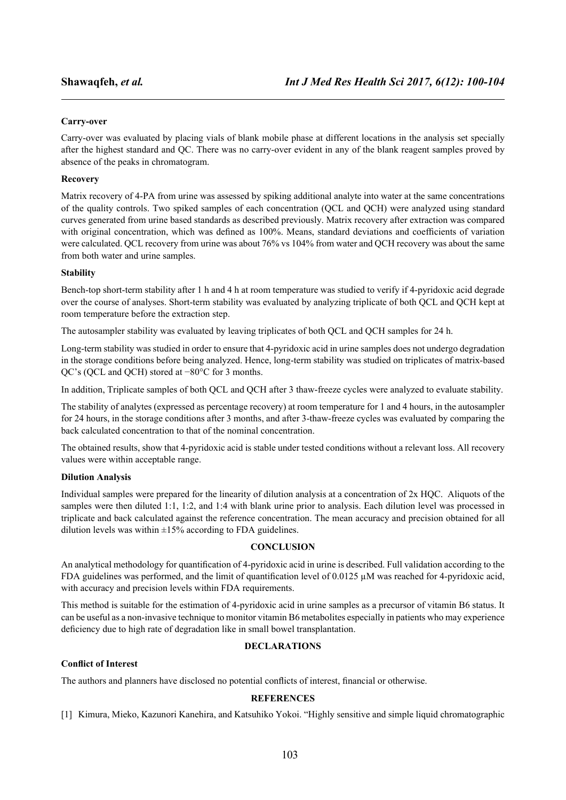## **Carry-over**

Carry-over was evaluated by placing vials of blank mobile phase at different locations in the analysis set specially after the highest standard and QC. There was no carry-over evident in any of the blank reagent samples proved by absence of the peaks in chromatogram.

## **Recovery**

Matrix recovery of 4-PA from urine was assessed by spiking additional analyte into water at the same concentrations of the quality controls. Two spiked samples of each concentration (QCL and QCH) were analyzed using standard curves generated from urine based standards as described previously. Matrix recovery after extraction was compared with original concentration, which was defined as 100%. Means, standard deviations and coefficients of variation were calculated. QCL recovery from urine was about 76% vs 104% from water and QCH recovery was about the same from both water and urine samples.

## **Stability**

Bench-top short-term stability after 1 h and 4 h at room temperature was studied to verify if 4-pyridoxic acid degrade over the course of analyses. Short-term stability was evaluated by analyzing triplicate of both QCL and QCH kept at room temperature before the extraction step.

The autosampler stability was evaluated by leaving triplicates of both QCL and QCH samples for 24 h.

Long-term stability was studied in order to ensure that 4-pyridoxic acid in urine samples does not undergo degradation in the storage conditions before being analyzed. Hence, long-term stability was studied on triplicates of matrix-based QC's (QCL and QCH) stored at −80°C for 3 months.

In addition, Triplicate samples of both QCL and QCH after 3 thaw-freeze cycles were analyzed to evaluate stability.

The stability of analytes (expressed as percentage recovery) at room temperature for 1 and 4 hours, in the autosampler for 24 hours, in the storage conditions after 3 months, and after 3-thaw-freeze cycles was evaluated by comparing the back calculated concentration to that of the nominal concentration.

The obtained results, show that 4-pyridoxic acid is stable under tested conditions without a relevant loss. All recovery values were within acceptable range.

## **Dilution Analysis**

Individual samples were prepared for the linearity of dilution analysis at a concentration of 2x HQC. Aliquots of the samples were then diluted 1:1, 1:2, and 1:4 with blank urine prior to analysis. Each dilution level was processed in triplicate and back calculated against the reference concentration. The mean accuracy and precision obtained for all dilution levels was within  $\pm 15\%$  according to FDA guidelines.

## **CONCLUSION**

An analytical methodology for quantification of 4-pyridoxic acid in urine is described. Full validation according to the FDA guidelines was performed, and the limit of quantification level of  $0.0125 \mu M$  was reached for 4-pyridoxic acid, with accuracy and precision levels within FDA requirements.

This method is suitable for the estimation of 4-pyridoxic acid in urine samples as a precursor of vitamin B6 status. It can be useful as a non-invasive technique to monitor vitamin B6 metabolites especially in patients who may experience deficiency due to high rate of degradation like in small bowel transplantation.

## **DECLARATIONS**

## **Conflict of Interest**

The authors and planners have disclosed no potential conflicts of interest, financial or otherwise.

## **REFERENCES**

[1] Kimura, Mieko, Kazunori Kanehira, and Katsuhiko Yokoi. "Highly sensitive and simple liquid chromatographic